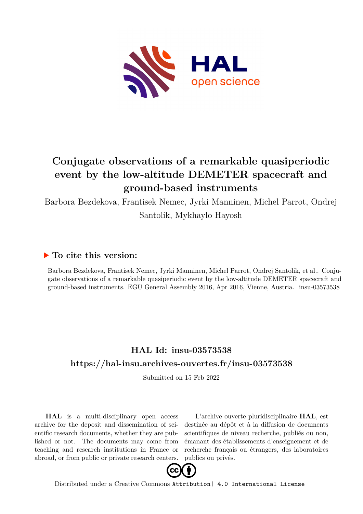

## **Conjugate observations of a remarkable quasiperiodic event by the low-altitude DEMETER spacecraft and ground-based instruments**

Barbora Bezdekova, Frantisek Nemec, Jyrki Manninen, Michel Parrot, Ondrej Santolik, Mykhaylo Hayosh

## **To cite this version:**

Barbora Bezdekova, Frantisek Nemec, Jyrki Manninen, Michel Parrot, Ondrej Santolik, et al.. Conjugate observations of a remarkable quasiperiodic event by the low-altitude DEMETER spacecraft and ground-based instruments. EGU General Assembly 2016, Apr 2016, Vienne, Austria. insu-03573538

## **HAL Id: insu-03573538 <https://hal-insu.archives-ouvertes.fr/insu-03573538>**

Submitted on 15 Feb 2022

**HAL** is a multi-disciplinary open access archive for the deposit and dissemination of scientific research documents, whether they are published or not. The documents may come from teaching and research institutions in France or abroad, or from public or private research centers.

L'archive ouverte pluridisciplinaire **HAL**, est destinée au dépôt et à la diffusion de documents scientifiques de niveau recherche, publiés ou non, émanant des établissements d'enseignement et de recherche français ou étrangers, des laboratoires publics ou privés.



Distributed under a Creative Commons [Attribution| 4.0 International License](http://creativecommons.org/licenses/by/4.0/)